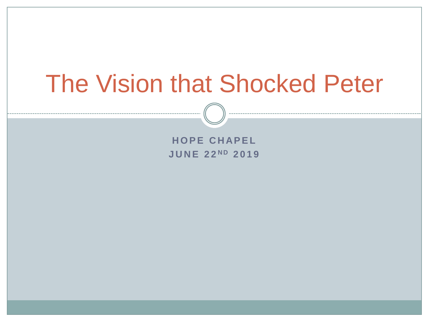# The Vision that Shocked Peter

**HOPE CHAPEL J U N E 2 2 N D 2019**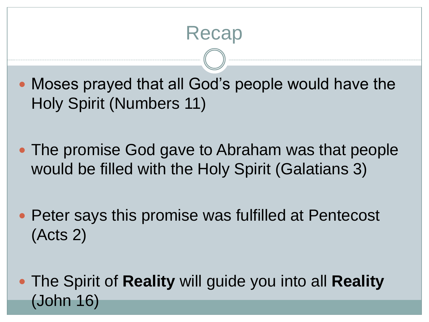### Recap

 Moses prayed that all God's people would have the Holy Spirit (Numbers 11)

- The promise God gave to Abraham was that people would be filled with the Holy Spirit (Galatians 3)
- Peter says this promise was fulfilled at Pentecost (Acts 2)
- The Spirit of **Reality** will guide you into all **Reality**  (John 16)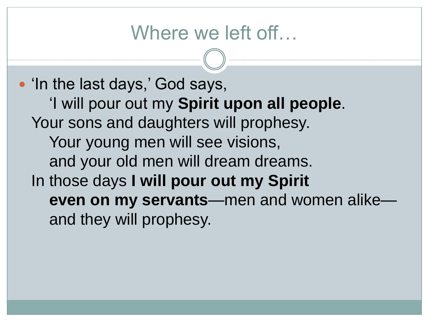#### Where we left off...

• 'In the last days,' God says, 'I will pour out my **Spirit upon all people**. Your sons and daughters will prophesy. Your young men will see visions, and your old men will dream dreams. In those days **I will pour out my Spirit even on my servants**—men and women alike and they will prophesy.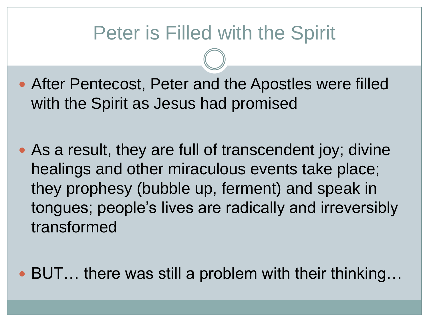#### Peter is Filled with the Spirit

- After Pentecost, Peter and the Apostles were filled with the Spirit as Jesus had promised
- As a result, they are full of transcendent joy; divine healings and other miraculous events take place; they prophesy (bubble up, ferment) and speak in tongues; people's lives are radically and irreversibly transformed
- BUT... there was still a problem with their thinking...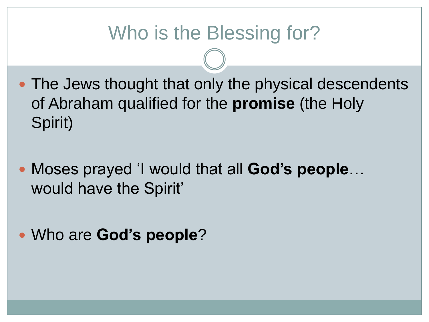## Who is the Blessing for?

- The Jews thought that only the physical descendents of Abraham qualified for the **promise** (the Holy Spirit)
- Moses prayed 'I would that all **God's people**… would have the Spirit'
- Who are **God's people**?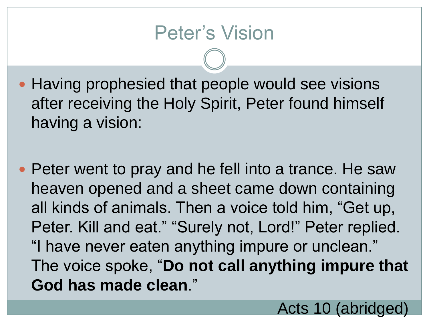- Having prophesied that people would see visions after receiving the Holy Spirit, Peter found himself having a vision:
- Peter went to pray and he fell into a trance. He saw heaven opened and a sheet came down containing all kinds of animals. Then a voice told him, "Get up, Peter. Kill and eat." "Surely not, Lord!" Peter replied. "I have never eaten anything impure or unclean." The voice spoke, "**Do not call anything impure that God has made clean**."

Acts 10 (abridged)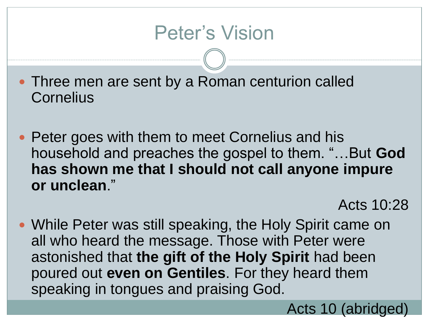#### Peter's Vision

- Three men are sent by a Roman centurion called **Cornelius**
- Peter goes with them to meet Cornelius and his household and preaches the gospel to them. "…But **God has shown me that I should not call anyone impure or unclean**."

Acts 10:28

 While Peter was still speaking, the Holy Spirit came on all who heard the message. Those with Peter were astonished that **the gift of the Holy Spirit** had been poured out **even on Gentiles**. For they heard them speaking in tongues and praising God.

Acts 10 (abridged)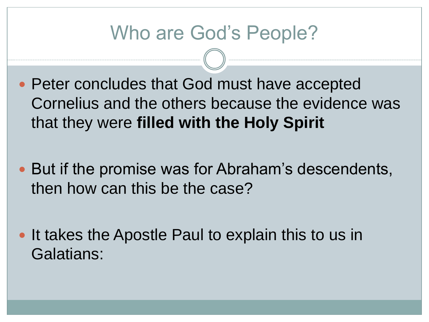### Who are God's People?

- Peter concludes that God must have accepted Cornelius and the others because the evidence was that they were **filled with the Holy Spirit**
- But if the promise was for Abraham's descendents, then how can this be the case?
- It takes the Apostle Paul to explain this to us in Galatians: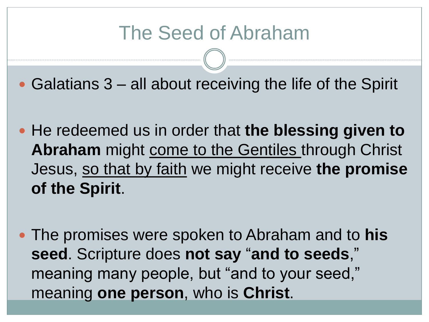### The Seed of Abraham

- Galatians 3 all about receiving the life of the Spirit
- He redeemed us in order that **the blessing given to Abraham** might come to the Gentiles through Christ Jesus, so that by faith we might receive **the promise of the Spirit**.
- The promises were spoken to Abraham and to **his seed**. Scripture does **not say** "**and to seeds**," meaning many people, but "and to your seed," meaning **one person**, who is **Christ**.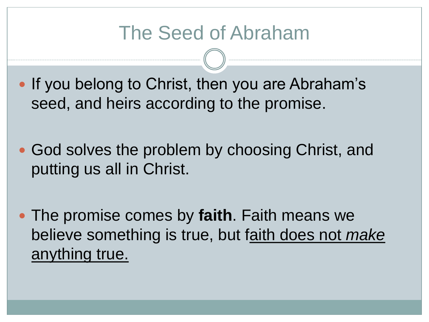### The Seed of Abraham

- If you belong to Christ, then you are Abraham's seed, and heirs according to the promise.
- God solves the problem by choosing Christ, and putting us all in Christ.
- The promise comes by **faith**. Faith means we believe something is true, but faith does not *make* anything true.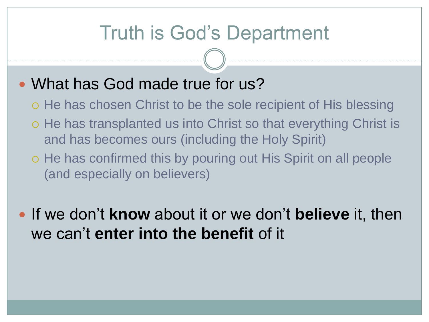#### Truth is God's Department

#### • What has God made true for us?

- o He has chosen Christ to be the sole recipient of His blessing
- o He has transplanted us into Christ so that everything Christ is and has becomes ours (including the Holy Spirit)
- o He has confirmed this by pouring out His Spirit on all people (and especially on believers)
- If we don't **know** about it or we don't **believe** it, then we can't **enter into the benefit** of it